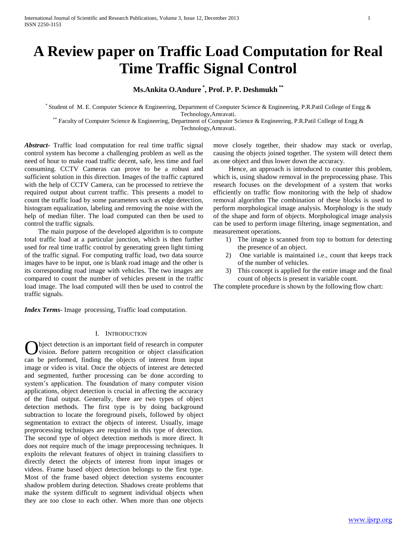# **A Review paper on Traffic Load Computation for Real Time Traffic Signal Control**

## **Ms.Ankita O.Andure \* , Prof. P. P. Deshmukh \*\***

\* Student of M. E. Computer Science & Engineering, Department of Computer Science & Engineering, P.R.Patil College of Engg & Technology,Amravati.

\*\* Faculty of Computer Science & Engineering, Department of Computer Science & Engineering, P.R.Patil College of Engg & Technology,Amravati.

*Abstract***-** Traffic load computation for real time traffic signal control system has become a challenging problem as well as the need of hour to make road traffic decent, safe, less time and fuel consuming. CCTV Cameras can prove to be a robust and sufficient solution in this direction. Images of the traffic captured with the help of CCTV Camera, can be processed to retrieve the required output about current traffic. This presents a model to count the traffic load by some parameters such as edge detection, histogram equalization, labeling and removing the noise with the help of median filter. The load computed can then be used to control the traffic signals.

 The main purpose of the developed algorithm is to compute total traffic load at a particular junction, which is then further used for real time traffic control by generating green light timing of the traffic signal. For computing traffic load, two data source images have to be input, one is blank road image and the other is its corresponding road image with vehicles. The two images are compared to count the number of vehicles present in the traffic load image. The load computed will then be used to control the traffic signals.

*Index Terms*- Image processing, Traffic load computation.

#### I. INTRODUCTION

bject detection is an important field of research in computer vision. Before pattern recognition or object classification **C** bject detection is an important field of research in computer vision. Before pattern recognition or object classification can be performed, finding the objects of interest from input image or video is vital. Once the objects of interest are detected and segmented, further processing can be done according to system's application. The foundation of many computer vision applications, object detection is crucial in affecting the accuracy of the final output. Generally, there are two types of object detection methods. The first type is by doing background subtraction to locate the foreground pixels, followed by object segmentation to extract the objects of interest. Usually, image preprocessing techniques are required in this type of detection. The second type of object detection methods is more direct. It does not require much of the image preprocessing techniques. It exploits the relevant features of object in training classifiers to directly detect the objects of interest from input images or videos. Frame based object detection belongs to the first type. Most of the frame based object detection systems encounter shadow problem during detection. Shadows create problems that make the system difficult to segment individual objects when they are too close to each other. When more than one objects move closely together, their shadow may stack or overlap, causing the objects joined together. The system will detect them as one object and thus lower down the accuracy.

 Hence, an approach is introduced to counter this problem, which is, using shadow removal in the preprocessing phase. This research focuses on the development of a system that works efficiently on traffic flow monitoring with the help of shadow removal algorithm The combination of these blocks is used to perform morphological image analysis. Morphology is the study of the shape and form of objects. Morphological image analysis can be used to perform image filtering, image segmentation, and measurement operations.

- 1) The image is scanned from top to bottom for detecting the presence of an object.
- 2) One variable is maintained i.e., count that keeps track of the number of vehicles.
- 3) This concept is applied for the entire image and the final count of objects is present in variable count.

The complete procedure is shown by the following flow chart: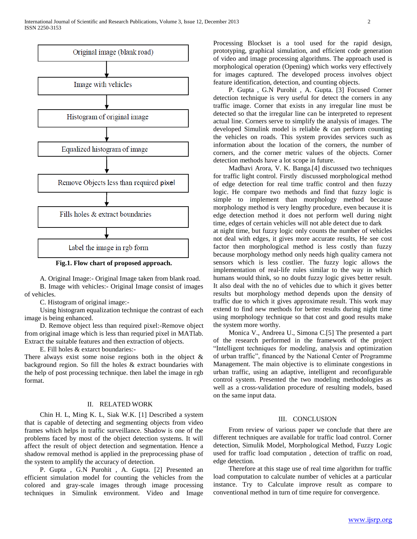

**Fig.1. Flow chart of proposed approach.**

 A. Original Image:- Original Image taken from blank road. B. Image with vehicles:- Original Image consist of images of vehicles.

C. Histogram of original image:-

 Using histogram equalization technique the contrast of each image is being enhanced.

 D. Remove object less than required pixel:-Remove object from original image which is less than requried pixel in MATlab. Extract the suitable features and then extraction of objects.

E. Fill holes & extarct boundaries:-

There always exist some noise regions both in the object  $\&$ background region. So fill the holes & extract boundaries with the help of post processing technique. then label the image in rgb format.

### II. RELATED WORK

 Chin H. L, Ming K. L, Siak W.K. [1] Described a system that is capable of detecting and segmenting objects from video frames which helps in traffic surveillance. Shadow is one of the problems faced by most of the object detection systems. It will affect the result of object detection and segmentation. Hence a shadow removal method is applied in the preprocessing phase of the system to amplify the accuracy of detection.

 P. Gupta , G.N Purohit , A. Gupta. [2] Presented an efficient simulation model for counting the vehicles from the colored and gray-scale images through image processing techniques in Simulink environment. Video and Image

Processing Blockset is a tool used for the rapid design, prototyping, graphical simulation, and efficient code generation of video and image processing algorithms. The approach used is morphological operation (Opening) which works very effectively for images captured. The developed process involves object feature identification, detection, and counting objects.

 P. Gupta , G.N Purohit , A. Gupta. [3] Focused Corner detection technique is very useful for detect the corners in any traffic image. Corner that exists in any irregular line must be detected so that the irregular line can be interpreted to represent actual line. Corners serve to simplify the analysis of images. The developed Simulink model is reliable & can perform counting the vehicles on roads. This system provides services such as information about the location of the corners, the number of corners, and the corner metric values of the objects. Corner detection methods have a lot scope in future.

 Madhavi Arora, V. K. Banga.[4] discussed two techniques for traffic light control. Firstly discussed morphological method of edge detection for real time traffic control and then fuzzy logic. He compare two methods and find that fuzzy logic is simple to implement than morphology method because morphology method is very lengthy procedure, even because it is edge detection method it does not perform well during night time, edges of certain vehicles will not able detect due to dark

at night time, but fuzzy logic only counts the number of vehicles not deal with edges, it gives more accurate results, He see cost factor then morphological method is less costly than fuzzy because morphology method only needs high quality camera not sensors which is less costlier. The fuzzy logic allows the implementation of real-life rules similar to the way in which humans would think, so no doubt fuzzy logic gives better result. It also deal with the no of vehicles due to which it gives better results but morphology method depends upon the density of traffic due to which it gives approximate result. This work may extend to find new methods for better results during night time using morphology technique so that cost and good results make the system more worthy.

 Monica V., Andreea U., Simona C.[5] The presented a part of the research performed in the framework of the project "Intelligent techniques for modeling, analysis and optimization of urban traffic", financed by the National Center of Programme Management. The main objective is to eliminate congestions in urban traffic, using an adaptive, intelligent and reconfigurable control system. Presented the two modeling methodologies as well as a cross-validation procedure of resulting models, based on the same input data.

### III. CONCLUSION

 From review of various paper we conclude that there are different techniques are available for traffic load control. Corner detection, Simulik Model, Morphological Method, Fuzzy Logic used for traffic load computation , detection of traffic on road, edge detection.

 Therefore at this stage use of real time algorithm for traffic load computation to calculate number of vehicles at a particular instance. Try to Calculate improve result as compare to conventional method in turn of time require for convergence.